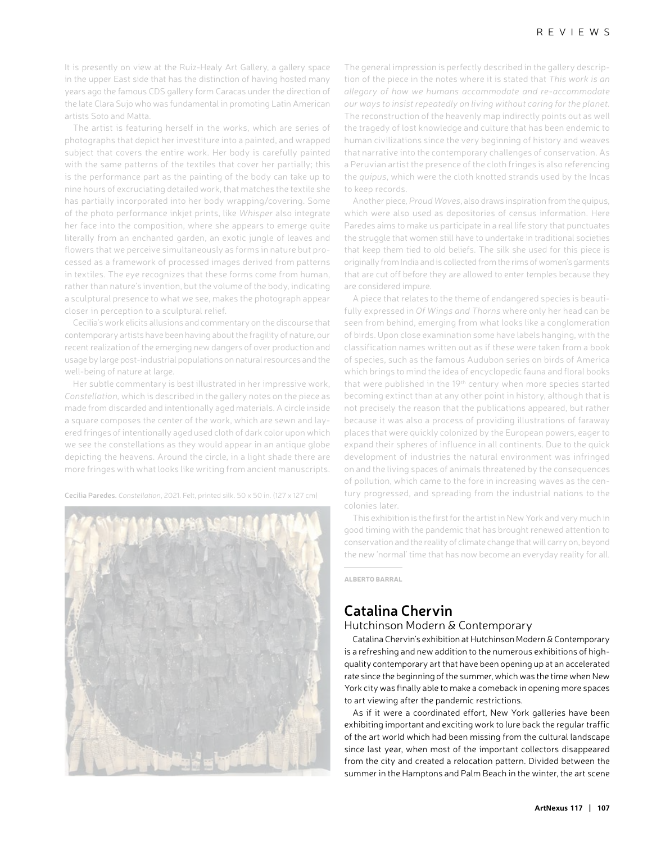It is presently on view at the Ruiz-Healy Art Gallery, a gallery space in the upper East side that has the distinction of having hosted many years ago the famous CDS gallery form Caracas under the direction of the late Clara Sujo who was fundamental in promoting Latin American artists Soto and Matta.

The artist is featuring herself in the works, which are series of photographs that depict her investiture into a painted, and wrapped subject that covers the entire work. Her body is carefully painted with the same patterns of the textiles that cover her partially; this is the performance part as the painting of the body can take up to nine hours of excruciating detailed work, that matches the textile she has partially incorporated into her body wrapping/covering. Some of the photo performance inkjet prints, like *Whisper* also integrate her face into the composition, where she appears to emerge quite literally from an enchanted garden, an exotic jungle of leaves and flowers that we perceive simultaneously as forms in nature but processed as a framework of processed images derived from patterns in textiles. The eye recognizes that these forms come from human, rather than nature's invention, but the volume of the body, indicating a sculptural presence to what we see, makes the photograph appear closer in perception to a sculptural relief.

Cecilia's work elicits allusions and commentary on the discourse that contemporary artists have been having about the fragility of nature, our recent realization of the emerging new dangers of over production and usage by large post-industrial populations on natural resources and the well-being of nature at large.

Her subtle commentary is best illustrated in her impressive work, *Constellation,* which is described in the gallery notes on the piece as made from discarded and intentionally aged materials. A circle inside a square composes the center of the work, which are sewn and layered fringes of intentionally aged used cloth of dark color upon which we see the constellations as they would appear in an antique globe depicting the heavens. Around the circle, in a light shade there are more fringes with what looks like writing from ancient manuscripts.

**Cecilia Paredes.** *Constellation*, 2021. Felt, printed silk. 50 x 50 in. (127 x 127 cm)



The general impression is perfectly described in the gallery description of the piece in the notes where it is stated that *This work is an allegory of how we humans accommodate and re-accommodate our ways to insist repeatedly on living without caring for the planet.* The reconstruction of the heavenly map indirectly points out as well the tragedy of lost knowledge and culture that has been endemic to human civilizations since the very beginning of history and weaves that narrative into the contemporary challenges of conservation. As a Peruvian artist the presence of the cloth fringes is also referencing the *quipus*, which were the cloth knotted strands used by the Incas to keep records.

Another piece*, Proud Waves*, also draws inspiration from the quipus, which were also used as depositories of census information. Here Paredes aims to make us participate in a real life story that punctuates the struggle that women still have to undertake in traditional societies that keep them tied to old beliefs. The silk she used for this piece is originally from India and is collected from the rims of women's garments that are cut off before they are allowed to enter temples because they are considered impure.

A piece that relates to the theme of endangered species is beautifully expressed in *Of Wings and Thorns* where only her head can be seen from behind, emerging from what looks like a conglomeration of birds. Upon close examination some have labels hanging, with the classification names written out as if these were taken from a book of species, such as the famous Audubon series on birds of America which brings to mind the idea of encyclopedic fauna and floral books that were published in the 19th century when more species started becoming extinct than at any other point in history, although that is not precisely the reason that the publications appeared, but rather because it was also a process of providing illustrations of faraway places that were quickly colonized by the European powers, eager to expand their spheres of influence in all continents. Due to the quick development of industries the natural environment was infringed on and the living spaces of animals threatened by the consequences of pollution, which came to the fore in increasing waves as the century progressed, and spreading from the industrial nations to the colonies later.

This exhibition is the first for the artist in New York and very much in good timing with the pandemic that has brought renewed attention to conservation and the reality of climate change that will carry on, beyond the new 'normal' time that has now become an everyday reality for all.

ALBERTO BARRAL

## **Catalina Chervin**

## Hutchinson Modern & Contemporary

Catalina Chervin's exhibition at Hutchinson Modern & Contemporary is a refreshing and new addition to the numerous exhibitions of highquality contemporary art that have been opening up at an accelerated rate since the beginning of the summer, which was the time when New York city was finally able to make a comeback in opening more spaces to art viewing after the pandemic restrictions.

As if it were a coordinated effort, New York galleries have been exhibiting important and exciting work to lure back the regular traffic of the art world which had been missing from the cultural landscape since last year, when most of the important collectors disappeared from the city and created a relocation pattern. Divided between the summer in the Hamptons and Palm Beach in the winter, the art scene